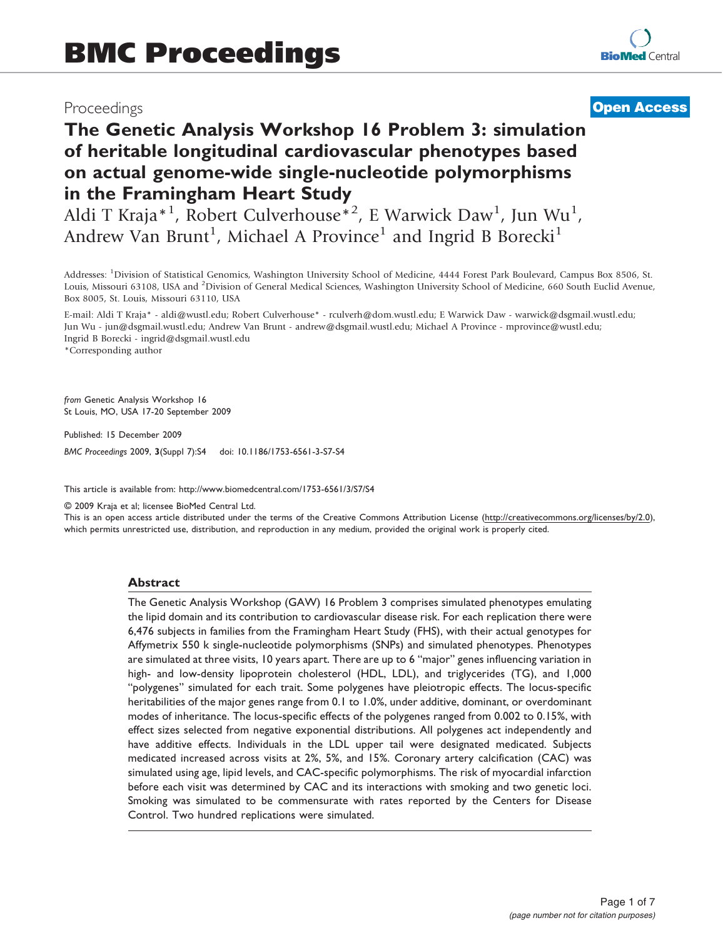## Proceedings

# **[Open Access](http://www.biomedcentral.com/info/about/charter/)**

# The Genetic Analysis Workshop 16 Problem 3: simulation of heritable longitudinal cardiovascular phenotypes based on actual genome-wide single-nucleotide polymorphisms in the Framingham Heart Study

Aldi T Kraja\*<sup>1</sup>, Robert Culverhouse<sup>\*2</sup>, E Warwick Daw<sup>1</sup>, Jun Wu<sup>1</sup>, Andrew Van Brunt<sup>1</sup>, Michael A Province<sup>1</sup> and Ingrid B Borecki<sup>1</sup>

Addresses: <sup>1</sup>Division of Statistical Genomics, Washington University School of Medicine, 4444 Forest Park Boulevard, Campus Box 8506, St. Louis, Missouri 63108, USA and <sup>2</sup>Division of General Medical Sciences, Washington University School of Medicine, 660 South Euclid Avenue, Box 8005, St. Louis, Missouri 63110, USA

E-mail: Aldi T Kraja\* - [aldi@wustl.edu](mailto:aldi@wustl.edu); Robert Culverhouse\* - [rculverh@dom.wustl.edu](mailto:rculverh@dom.wustl.edu); E Warwick Daw - [warwick@dsgmail.wustl.edu;](mailto:warwick@dsgmail.wustl.edu) Jun Wu - [jun@dsgmail.wustl.edu;](mailto:jun@dsgmail.wustl.edu) Andrew Van Brunt - [andrew@dsgmail.wustl.edu](mailto:andrew@dsgmail.wustl.edu); Michael A Province - [mprovince@wustl.edu](mailto:mprovince@wustl.edu); Ingrid B Borecki - [ingrid@dsgmail.wustl.edu](mailto:ingrid@dsgmail.wustl.edu)

\*Corresponding author

from Genetic Analysis Workshop 16 St Louis, MO, USA 17-20 September 2009

Published: 15 December 2009

BMC Proceedings 2009, 3(Suppl 7):S4 doi: 10.1186/1753-6561-3-S7-S4

This article is available from: http://www.biomedcentral.com/1753-6561/3/S7/S4

© 2009 Kraja et al; licensee BioMed Central Ltd.

This is an open access article distributed under the terms of the Creative Commons Attribution License [\(http://creativecommons.org/licenses/by/2.0\)](http://creativecommons.org/licenses/by/2.0), which permits unrestricted use, distribution, and reproduction in any medium, provided the original work is properly cited.

#### Abstract

The Genetic Analysis Workshop (GAW) 16 Problem 3 comprises simulated phenotypes emulating the lipid domain and its contribution to cardiovascular disease risk. For each replication there were 6,476 subjects in families from the Framingham Heart Study (FHS), with their actual genotypes for Affymetrix 550 k single-nucleotide polymorphisms (SNPs) and simulated phenotypes. Phenotypes are simulated at three visits, 10 years apart. There are up to 6 "major" genes influencing variation in high- and low-density lipoprotein cholesterol (HDL, LDL), and triglycerides (TG), and 1,000 "polygenes" simulated for each trait. Some polygenes have pleiotropic effects. The locus-specific heritabilities of the major genes range from 0.1 to 1.0%, under additive, dominant, or overdominant modes of inheritance. The locus-specific effects of the polygenes ranged from 0.002 to 0.15%, with effect sizes selected from negative exponential distributions. All polygenes act independently and have additive effects. Individuals in the LDL upper tail were designated medicated. Subjects medicated increased across visits at 2%, 5%, and 15%. Coronary artery calcification (CAC) was simulated using age, lipid levels, and CAC-specific polymorphisms. The risk of myocardial infarction before each visit was determined by CAC and its interactions with smoking and two genetic loci. Smoking was simulated to be commensurate with rates reported by the Centers for Disease Control. Two hundred replications were simulated.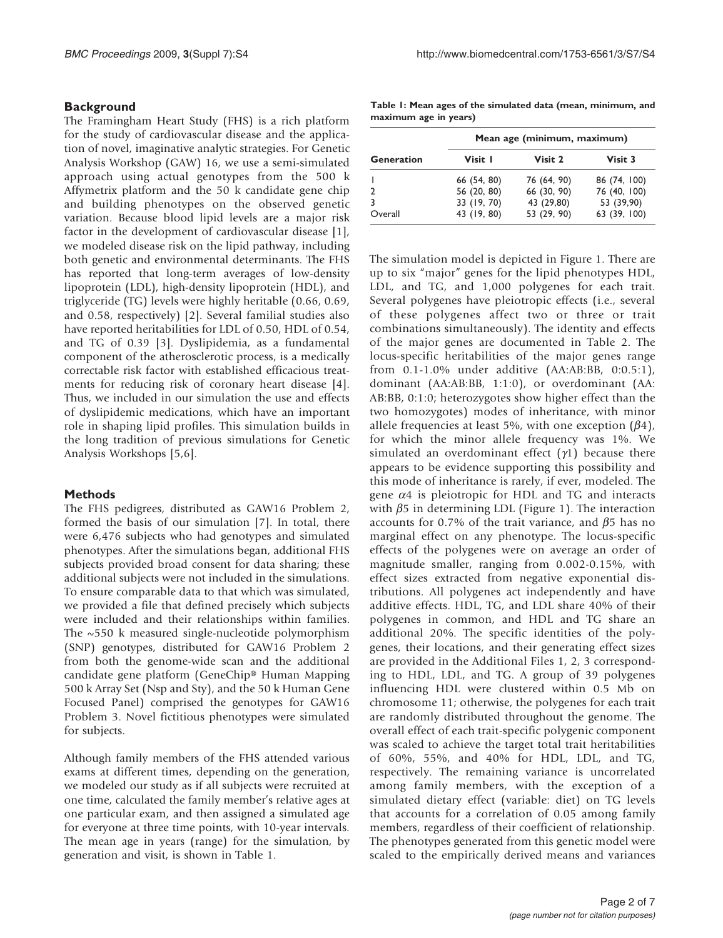## **Background**

The Framingham Heart Study (FHS) is a rich platform for the study of cardiovascular disease and the application of novel, imaginative analytic strategies. For Genetic Analysis Workshop (GAW) 16, we use a semi-simulated approach using actual genotypes from the 500 k Affymetrix platform and the 50 k candidate gene chip and building phenotypes on the observed genetic variation. Because blood lipid levels are a major risk factor in the development of cardiovascular disease [[1](#page-6-0)], we modeled disease risk on the lipid pathway, including both genetic and environmental determinants. The FHS has reported that long-term averages of low-density lipoprotein (LDL), high-density lipoprotein (HDL), and triglyceride (TG) levels were highly heritable (0.66, 0.69, and 0.58, respectively) [\[2\]](#page-6-0). Several familial studies also have reported heritabilities for LDL of 0.50, HDL of 0.54, and TG of 0.39 [[3](#page-6-0)]. Dyslipidemia, as a fundamental component of the atherosclerotic process, is a medically correctable risk factor with established efficacious treatments for reducing risk of coronary heart disease [[4](#page-6-0)]. Thus, we included in our simulation the use and effects of dyslipidemic medications, which have an important role in shaping lipid profiles. This simulation builds in the long tradition of previous simulations for Genetic Analysis Workshops [[5](#page-6-0),[6](#page-6-0)].

## Methods

The FHS pedigrees, distributed as GAW16 Problem 2, formed the basis of our simulation [[7](#page-6-0)]. In total, there were 6,476 subjects who had genotypes and simulated phenotypes. After the simulations began, additional FHS subjects provided broad consent for data sharing; these additional subjects were not included in the simulations. To ensure comparable data to that which was simulated, we provided a file that defined precisely which subjects were included and their relationships within families. The  $\sim$ 550 k measured single-nucleotide polymorphism (SNP) genotypes, distributed for GAW16 Problem 2 from both the genome-wide scan and the additional candidate gene platform (GeneChip® Human Mapping 500 k Array Set (Nsp and Sty), and the 50 k Human Gene Focused Panel) comprised the genotypes for GAW16 Problem 3. Novel fictitious phenotypes were simulated for subjects.

Although family members of the FHS attended various exams at different times, depending on the generation, we modeled our study as if all subjects were recruited at one time, calculated the family member's relative ages at one particular exam, and then assigned a simulated age for everyone at three time points, with 10-year intervals. The mean age in years (range) for the simulation, by generation and visit, is shown in Table 1.

Table 1: Mean ages of the simulated data (mean, minimum, and maximum age in years)

|                   | Mean age (minimum, maximum) |             |              |  |  |  |  |
|-------------------|-----------------------------|-------------|--------------|--|--|--|--|
| <b>Generation</b> | Visit 1                     | Visit 2     | Visit 3      |  |  |  |  |
|                   | 66 (54, 80)                 | 76 (64, 90) | 86 (74, 100) |  |  |  |  |
|                   | 56 (20, 80)                 | 66 (30, 90) | 76 (40, 100) |  |  |  |  |
|                   | 33 (19, 70)                 | 43 (29,80)  | 53 (39,90)   |  |  |  |  |
| Overall           | 43 (19, 80)                 | 53 (29, 90) | 63 (39, 100) |  |  |  |  |

The simulation model is depicted in [Figure 1](#page-2-0). There are up to six "major" genes for the lipid phenotypes HDL, LDL, and TG, and 1,000 polygenes for each trait. Several polygenes have pleiotropic effects (i.e., several of these polygenes affect two or three or trait combinations simultaneously). The identity and effects of the major genes are documented in [Table 2.](#page-3-0) The locus-specific heritabilities of the major genes range from 0.1-1.0% under additive (AA:AB:BB, 0:0.5:1), dominant (AA:AB:BB, 1:1:0), or overdominant (AA: AB:BB, 0:1:0; heterozygotes show higher effect than the two homozygotes) modes of inheritance, with minor allele frequencies at least 5%, with one exception  $(\beta 4)$ , for which the minor allele frequency was 1%. We simulated an overdominant effect  $(\gamma_1)$  because there appears to be evidence supporting this possibility and this mode of inheritance is rarely, if ever, modeled. The gene  $\alpha$ 4 is pleiotropic for HDL and TG and interacts with  $\beta$ 5 in determining LDL ([Figure 1](#page-2-0)). The interaction accounts for 0.7% of the trait variance, and  $\beta$ 5 has no marginal effect on any phenotype. The locus-specific effects of the polygenes were on average an order of magnitude smaller, ranging from 0.002-0.15%, with effect sizes extracted from negative exponential distributions. All polygenes act independently and have additive effects. HDL, TG, and LDL share 40% of their polygenes in common, and HDL and TG share an additional 20%. The specific identities of the polygenes, their locations, and their generating effect sizes are provided in the Additional Files [1](#page-6-0), 2, 3 corresponding to HDL, LDL, and TG. A group of 39 polygenes influencing HDL were clustered within 0.5 Mb on chromosome 11; otherwise, the polygenes for each trait are randomly distributed throughout the genome. The overall effect of each trait-specific polygenic component was scaled to achieve the target total trait heritabilities of 60%, 55%, and 40% for HDL, LDL, and TG, respectively. The remaining variance is uncorrelated among family members, with the exception of a simulated dietary effect (variable: diet) on TG levels that accounts for a correlation of 0.05 among family members, regardless of their coefficient of relationship. The phenotypes generated from this genetic model were scaled to the empirically derived means and variances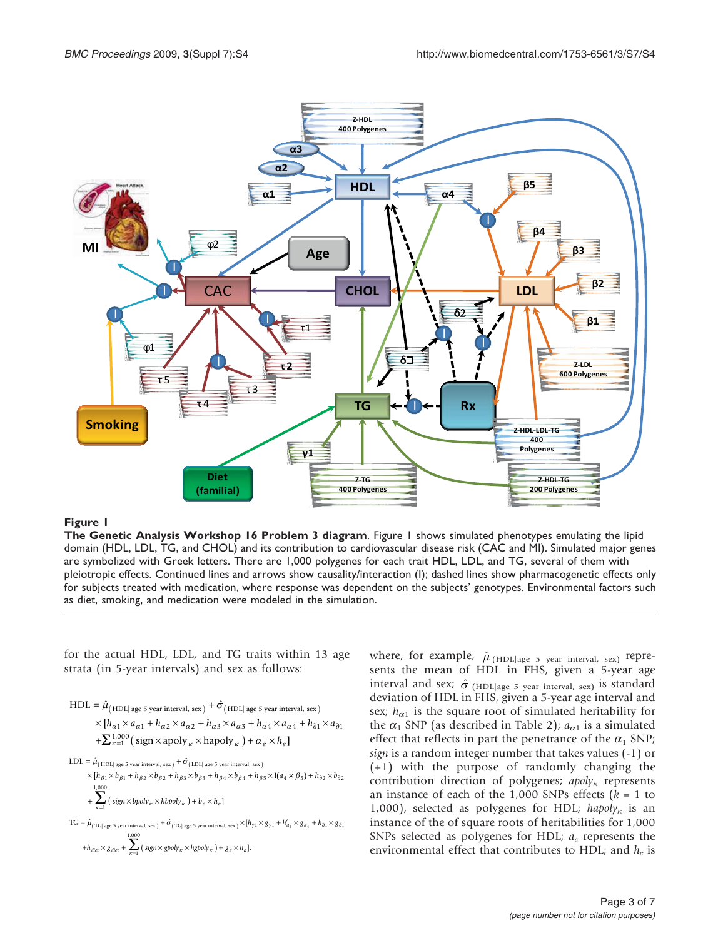<span id="page-2-0"></span>

#### Figure 1

The Genetic Analysis Workshop 16 Problem 3 diagram. Figure 1 shows simulated phenotypes emulating the lipid domain (HDL, LDL, TG, and CHOL) and its contribution to cardiovascular disease risk (CAC and MI). Simulated major genes are symbolized with Greek letters. There are 1,000 polygenes for each trait HDL, LDL, and TG, several of them with pleiotropic effects. Continued lines and arrows show causality/interaction (I); dashed lines show pharmacogenetic effects only for subjects treated with medication, where response was dependent on the subjects' genotypes. Environmental factors such as diet, smoking, and medication were modeled in the simulation.

for the actual HDL, LDL, and TG traits within 13 age strata (in 5-year intervals) and sex as follows:

- $\text{HDL} = \hat{\mu}_{\text{(HDL| age 5 year interval, sex)}} + \hat{\sigma}_{\text{(HDL| age 5 year interval, sex)}}$  $\times [h_{\alpha 1} \times a_{\alpha 1} + h_{\alpha 2} \times a_{\alpha 2} + h_{\alpha 3} \times a_{\alpha 3} + h_{\alpha 4} \times a_{\alpha 4} + h_{\partial 1} \times a_{\partial 1}]$  $+\sum_{\kappa=1}^{1,000}$  (sign × apoly <sub>k</sub> × hapoly <sub>k</sub> ) +  $\alpha_{\varepsilon}$  ×  $h_{\varepsilon}$ ]
- $\text{LDL} = \hat{\mu}_{\text{(HDL) age 5 year interval, sex)}} + \hat{\sigma}_{\text{(LDL) age 5 year interval, sex}}$ , (LDL age 5 year interval, sex)
- $[h_{\beta1} \times b_{\beta1} + h_{\beta2} \times b_{\beta2} + h_{\beta3} \times b_{\beta3} + h_{\beta4} \times b_{\beta4} + h_{\beta5} \times I]$  $[h_{\beta1} \times b_{\beta1} + h_{\beta2} \times b_{\beta2} + h_{\beta3} \times b_{\beta3} + h_{\beta4} \times b_{\beta4} + h_{\beta5} \times$  I(  $\times$ [ $h_{\beta_1}$   $\times$   $b_{\beta_1}$  +  $h_{\beta_2}$   $\times$   $b_{\beta_2}$  +  $h_{\beta_3}$   $\times$   $b_{\beta_3}$  +  $h_{\beta_4}$   $\times$   $b_{\beta_4}$  +  $h_{\beta_5}$   $\times$  I( $a_4$   $\times$   $\beta_5$ ) +  $h_{\partial 2}$   $\times$   $b_{\partial 2}$ +  $\sum_{\kappa=1}$  (sign  $\times$  bpoly<sub> $\kappa$ </sub>  $\times$  hbpoly<sub> $\kappa$ </sub>) +  $b_{\varepsilon} \times h_{\varepsilon}$ 1,000 ]  $\sum_{\kappa=1}^{1,000}$  ( sign  $\times$  bpoly  $\kappa \times$  hbpoly  $\kappa$  ) +  $b_{\varepsilon} \times h$
- $\text{TG} = \hat{\mu}_{(\text{TG}|\text{ age 5 year interval, sex})} + \hat{\sigma}_{(\text{TG}|\text{ age 5 year interval, sex})} \times [h_{\gamma1} \times g_{\gamma1} + h'_{a_4} \times g_{a_4} + h_{\partial1} \times g_{\partial1}$ ,  $+h_{\text{diet}} \times g_{\text{diet}} + \sum_{\kappa=1}$  $\sum_{k=1}^{1,000}$  $(\text{sign} \times \text{gpoly}_\kappa \times \text{hgpoly}_\kappa) + g_\varepsilon \times h_\varepsilon$ ],

where, for example,  $\hat{\mu}$  (HDL|age 5 year interval, sex) represents the mean of HDL in FHS, given a 5-year age interval and sex;  $\hat{\sigma}$  (HDL age 5 year interval, sex) is standard deviation of HDL in FHS, given a 5-year age interval and sex;  $h_{\alpha1}$  is the square root of simulated heritability for the  $\alpha_1$  SNP (as described in [Table 2\)](#page-3-0);  $a_{\alpha 1}$  is a simulated effect that reflects in part the penetrance of the  $\alpha_1$  SNP; sign is a random integer number that takes values (-1) or (+1) with the purpose of randomly changing the contribution direction of polygenes;  $apoly<sub>6</sub>$  represents an instance of each of the 1,000 SNPs effects ( $k = 1$  to 1,000), selected as polygenes for HDL; hapoly<sub> $\kappa$ </sub> is an instance of the of square roots of heritabilities for 1,000 SNPs selected as polygenes for HDL;  $a_{\varepsilon}$  represents the environmental effect that contributes to HDL; and  $h_{\varepsilon}$  is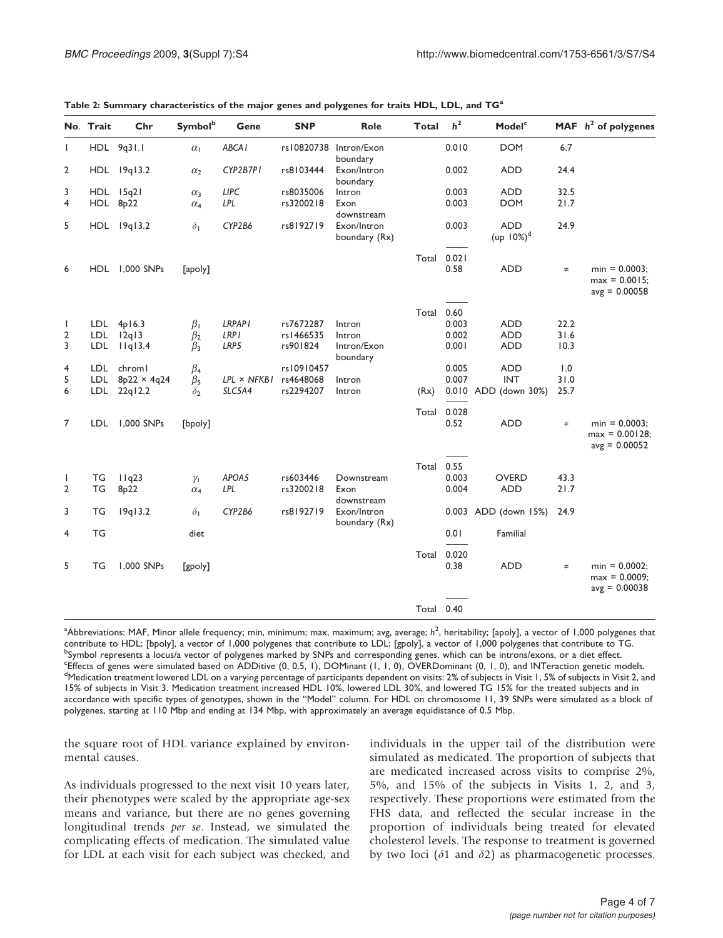|                | No. Trait  | Chr                    | <b>Symbol</b> <sup>b</sup> | Gene               | <b>SNP</b> | Role                         | <b>Total</b> | h <sup>2</sup> | Model <sup>c</sup>          |        | MAF $h^2$ of polygenes                                   |
|----------------|------------|------------------------|----------------------------|--------------------|------------|------------------------------|--------------|----------------|-----------------------------|--------|----------------------------------------------------------|
| $\mathbf{I}$   |            | HDL 9q31.1             | $\alpha_1$                 | ABCA <sub>I</sub>  | rs10820738 | Intron/Exon<br>boundary      |              | 0.010          | <b>DOM</b>                  | 6.7    |                                                          |
| $\overline{2}$ |            | HDL 19q13.2            | $\alpha_2$                 | CYP2B7P1           | rs8103444  | Exon/Intron<br>boundary      |              | 0.002          | <b>ADD</b>                  | 24.4   |                                                          |
| 3              |            | HDL 15q21              | $\alpha_3$                 | <b>LIPC</b>        | rs8035006  | Intron                       |              | 0.003          | <b>ADD</b>                  | 32.5   |                                                          |
| $\overline{4}$ |            | HDL 8p22               | $\alpha_4$                 | LPL                | rs3200218  | Exon<br>downstream           |              | 0.003          | <b>DOM</b>                  | 21.7   |                                                          |
| 5              |            | HDL 19q13.2            | $\delta_1$                 | CYP2B6             | rs8192719  | Exon/Intron<br>boundary (Rx) |              | 0.003          | <b>ADD</b><br>$(up 10\%)^d$ | 24.9   |                                                          |
|                |            |                        |                            |                    |            |                              | Total        | 0.021          |                             |        |                                                          |
| 6              |            | HDL 1,000 SNPs         | [apoly]                    |                    |            |                              |              | 0.58           | <b>ADD</b>                  | $\neq$ | $min = 0.0003$ ;<br>$max = 0.0015$ ;<br>$avg = 0.00058$  |
|                |            |                        |                            |                    |            |                              | Total 0.60   |                |                             |        |                                                          |
| $\mathbf{I}$   |            | $LDL$ 4p16.3           | $\beta_1$                  | <b>LRPAPI</b>      | rs7672287  | Intron                       |              | 0.003          | <b>ADD</b>                  | 22.2   |                                                          |
| 2              | <b>LDL</b> | 12q13                  | $\beta_2$                  | LRP I              | rs1466535  | Intron                       |              | 0.002          | <b>ADD</b>                  | 31.6   |                                                          |
| 3              | <b>LDL</b> | Ilq13.4                | $\beta_3$                  | LRP5               | rs901824   | Intron/Exon<br>boundary      |              | 0.001          | <b>ADD</b>                  | 10.3   |                                                          |
| 4              | LDL        | chroml                 | $\beta_4$                  |                    | rs10910457 |                              |              | 0.005          | <b>ADD</b>                  | 1.0    |                                                          |
| 5              |            | LDL $8p22 \times 4q24$ | $\beta_5$                  | $LPL \times NFKBI$ | rs4648068  | Intron                       |              | 0.007          | <b>INT</b>                  | 31.0   |                                                          |
| 6              |            | LDL 22q12.2            | $\delta_2$                 | SLC5A4             | rs2294207  | Intron                       | (Rx)         |                | 0.010 ADD (down 30%)        | 25.7   |                                                          |
|                |            |                        |                            |                    |            |                              | Total        | 0.028          |                             |        |                                                          |
| $\overline{7}$ | LDL        | 1,000 SNPs             | [bpoly]                    |                    |            |                              |              | 0.52           | <b>ADD</b>                  | $\neq$ | $min = 0.0003$ ;<br>$max = 0.00128$ ;<br>$avg = 0.00052$ |
|                |            |                        |                            |                    |            |                              | Total        | 0.55           |                             |        |                                                          |
| $\mathbf{I}$   | TG         | 11q23                  | $\gamma_{\rm L}$           | APOA5              | rs603446   | Downstream                   |              | 0.003          | <b>OVERD</b>                | 43.3   |                                                          |
| $\overline{2}$ | <b>TG</b>  | 8 <sub>p</sub> 22      | $\alpha_4$                 | LPL                | rs3200218  | Exon<br>downstream           |              | 0.004          | <b>ADD</b>                  | 21.7   |                                                          |
| 3              | TG         | 19q13.2                | $\delta_1$                 | CYP2B6             | rs8192719  | Exon/Intron<br>boundary (Rx) |              |                | 0.003 ADD (down 15%)        | 24.9   |                                                          |
| $\overline{4}$ | <b>TG</b>  |                        | diet                       |                    |            |                              |              | 0.01           | Familial                    |        |                                                          |
| 5              | ТG         | 1,000 SNPs             | [gpoly]                    |                    |            |                              | Total        | 0.020<br>0.38  | <b>ADD</b>                  | $\neq$ | $min = 0.0002$ ;<br>$max = 0.0009$ ;<br>$avg = 0.00038$  |
|                |            |                        |                            |                    |            |                              |              |                |                             |        |                                                          |
|                |            |                        |                            |                    |            |                              | Total 0.40   |                |                             |        |                                                          |

<span id="page-3-0"></span>Table 2: Summary characteristics of the major genes and polygenes for traits HDL, LDL, and TG<sup>a</sup>

 $^{\rm a}$ Abbreviations: MAF, Minor allele frequency; min, minimum; max, maximum; avg, average;  $h^2$ , heritability; [apoly], a vector of 1,000 polygenes that contribute to HDL; [bpoly], a vector of 1,000 polygenes that contribute to LDL; [gpoly], a vector of 1,000 polygenes that contribute to TG. <sup>b</sup> <sup>b</sup>Symbol represents a locus/a vector of polygenes marked by SNPs and corresponding genes, which can be introns/exons, or a diet effect. Effects of genes were simulated based on ADDitive (0, 0.5, 1), DOMinant (1, 1, 0), OVERDominant (0, 1, 0), and INTeraction genetic models.  $\frac{d}{dx}$ <sup>d</sup>Medication treatment lowered LDL on a varying percentage of participants dependent on visits: 2% of subjects in Visit 1, 5% of subjects in Visit 2, and 15% of subjects in Visit 3. Medication treatment increased HDL 10%, lowered LDL 30%, and lowered TG 15% for the treated subjects and in accordance with specific types of genotypes, shown in the "Model" column. For HDL on chromosome 11, 39 SNPs were simulated as a block of polygenes, starting at 110 Mbp and ending at 134 Mbp, with approximately an average equidistance of 0.5 Mbp.

the square root of HDL variance explained by environmental causes.

As individuals progressed to the next visit 10 years later, their phenotypes were scaled by the appropriate age-sex means and variance, but there are no genes governing longitudinal trends per se. Instead, we simulated the complicating effects of medication. The simulated value for LDL at each visit for each subject was checked, and individuals in the upper tail of the distribution were simulated as medicated. The proportion of subjects that are medicated increased across visits to comprise 2%, 5%, and 15% of the subjects in Visits 1, 2, and 3, respectively. These proportions were estimated from the FHS data, and reflected the secular increase in the proportion of individuals being treated for elevated cholesterol levels. The response to treatment is governed by two loci ( $\delta$ 1 and  $\delta$ 2) as pharmacogenetic processes.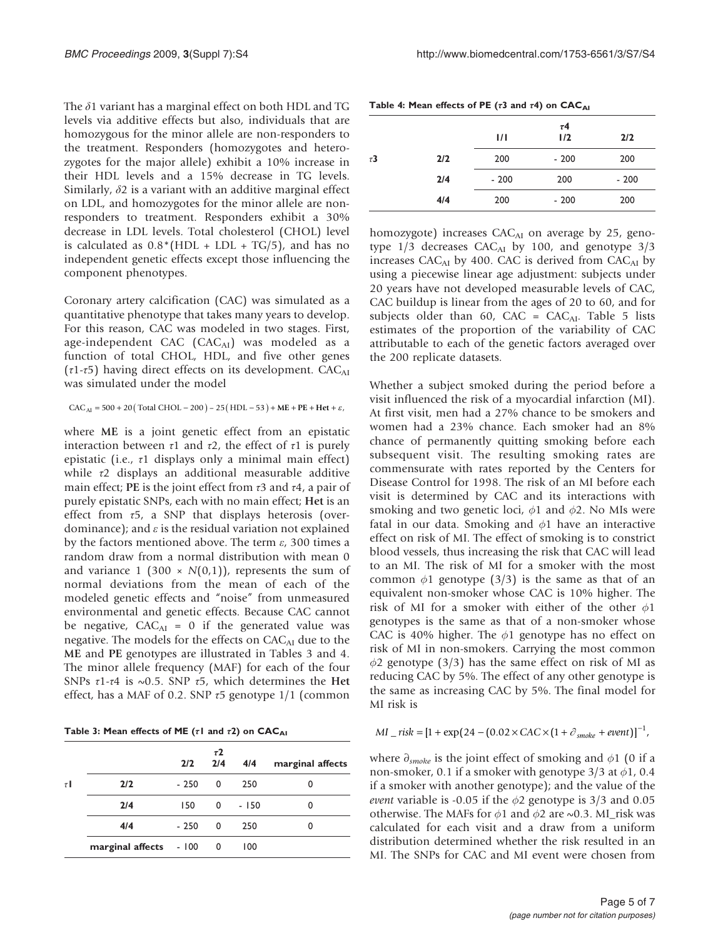The  $\delta$ 1 variant has a marginal effect on both HDL and TG levels via additive effects but also, individuals that are homozygous for the minor allele are non-responders to the treatment. Responders (homozygotes and heterozygotes for the major allele) exhibit a 10% increase in their HDL levels and a 15% decrease in TG levels. Similarly,  $\delta$ 2 is a variant with an additive marginal effect on LDL, and homozygotes for the minor allele are nonresponders to treatment. Responders exhibit a 30% decrease in LDL levels. Total cholesterol (CHOL) level is calculated as  $0.8*(HDL + LDL + TG/5)$ , and has no independent genetic effects except those influencing the component phenotypes.

Coronary artery calcification (CAC) was simulated as a quantitative phenotype that takes many years to develop. For this reason, CAC was modeled in two stages. First, age-independent CAC (CAC<sub>AI</sub>) was modeled as a function of total CHOL, HDL, and five other genes ( $\tau$ 1- $\tau$ 5) having direct effects on its development. CAC<sub>AI</sub> was simulated under the model

#### $CAC_{AI} = 500 + 20$  (Total CHOL – 200) – 25 (HDL – 53) + ME + PE + Het +  $\varepsilon$ ,

where ME is a joint genetic effect from an epistatic interaction between  $τ1$  and  $τ2$ , the effect of  $τ1$  is purely epistatic (i.e.,  $\tau$ 1 displays only a minimal main effect) while τ2 displays an additional measurable additive main effect; PE is the joint effect from  $\tau$ 3 and  $\tau$ 4, a pair of purely epistatic SNPs, each with no main effect; Het is an effect from  $\tau$ 5, a SNP that displays heterosis (overdominance); and  $\varepsilon$  is the residual variation not explained by the factors mentioned above. The term  $\varepsilon$ , 300 times a random draw from a normal distribution with mean 0 and variance 1 (300  $\times$  N(0,1)), represents the sum of normal deviations from the mean of each of the modeled genetic effects and "noise" from unmeasured environmental and genetic effects. Because CAC cannot be negative,  $CAC<sub>AI</sub> = 0$  if the generated value was negative. The models for the effects on  $CAC_{AI}$  due to the ME and PE genotypes are illustrated in Tables 3 and 4. The minor allele frequency (MAF) for each of the four SNPs  $\tau$ 1- $\tau$ 4 is ~0.5. SNP  $\tau$ 5, which determines the Het effect, has a MAF of 0.2. SNP  $\tau$ 5 genotype 1/1 (common

Table 3: Mean effects of ME (τl and τ2) on  $CAC_{AI}$ 

|        |                        | 2/2    | $\tau$ 2<br>2/4          | 4/4    | marginal affects |
|--------|------------------------|--------|--------------------------|--------|------------------|
| $\tau$ | 2/2                    | $-250$ | 0                        | 250    | 0                |
|        | 2/4                    | 150    | $\Omega$                 | $-150$ | 0                |
|        | 4/4                    | - 250  | $\Omega$                 | 250    | 0                |
|        | marginal affects - 100 |        | $\overline{\phantom{0}}$ | 100    |                  |

|          |     | $\frac{1}{1}$ | $\tau$ 4<br>1/2 | 2/2    |
|----------|-----|---------------|-----------------|--------|
| $\tau$ 3 | 2/2 | 200           | $-200$          | 200    |
|          | 2/4 | $-200$        | 200             | $-200$ |
|          | 4/4 | 200           | $-200$          | 200    |

homozygote) increases CAC<sub>AI</sub> on average by 25, genotype  $1/3$  decreases CAC<sub>AI</sub> by 100, and genotype  $3/3$ increases  $CAC<sub>AI</sub>$  by 400. CAC is derived from  $CAC<sub>AI</sub>$  by using a piecewise linear age adjustment: subjects under 20 years have not developed measurable levels of CAC, CAC buildup is linear from the ages of 20 to 60, and for subjects older than 60, CAC =  $CAC<sub>AI</sub>$ . [Table 5](#page-5-0) lists estimates of the proportion of the variability of CAC attributable to each of the genetic factors averaged over the 200 replicate datasets.

Whether a subject smoked during the period before a visit influenced the risk of a myocardial infarction (MI). At first visit, men had a 27% chance to be smokers and women had a 23% chance. Each smoker had an 8% chance of permanently quitting smoking before each subsequent visit. The resulting smoking rates are commensurate with rates reported by the Centers for Disease Control for 1998. The risk of an MI before each visit is determined by CAC and its interactions with smoking and two genetic loci,  $\phi$ 1 and  $\phi$ 2. No MIs were fatal in our data. Smoking and  $\phi$ 1 have an interactive effect on risk of MI. The effect of smoking is to constrict blood vessels, thus increasing the risk that CAC will lead to an MI. The risk of MI for a smoker with the most common  $\phi$ 1 genotype (3/3) is the same as that of an equivalent non-smoker whose CAC is 10% higher. The risk of MI for a smoker with either of the other  $\phi$ 1 genotypes is the same as that of a non-smoker whose CAC is 40% higher. The  $\phi$ 1 genotype has no effect on risk of MI in non-smokers. Carrying the most common  $\phi$ 2 genotype (3/3) has the same effect on risk of MI as reducing CAC by 5%. The effect of any other genotype is the same as increasing CAC by 5%. The final model for MI risk is

*MI* \_ risk =  $[1 + \exp(24 - (0.02 \times CAC \times (1 + \partial_{smoke} + event))]^{-1}$ ,

where  $\partial_{smoke}$  is the joint effect of smoking and  $\phi$ 1 (0 if a non-smoker, 0.1 if a smoker with genotype  $3/3$  at  $\phi$ 1, 0.4 if a smoker with another genotype); and the value of the event variable is -0.05 if the  $\phi$ 2 genotype is 3/3 and 0.05 otherwise. The MAFs for  $\phi$ 1 and  $\phi$ 2 are ~0.3. MI\_risk was calculated for each visit and a draw from a uniform distribution determined whether the risk resulted in an MI. The SNPs for CAC and MI event were chosen from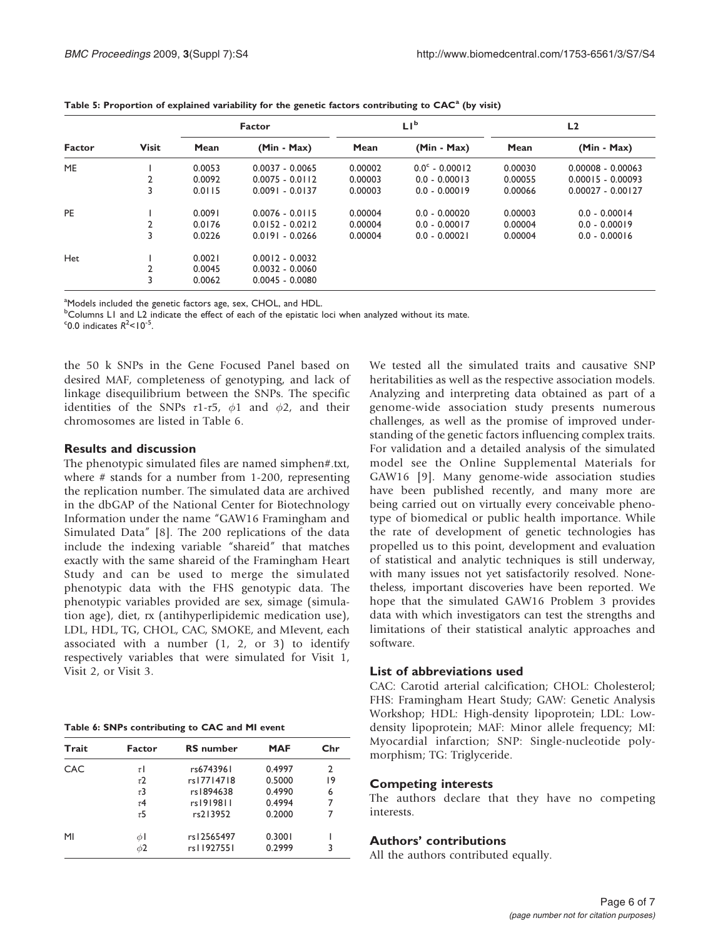|        | <b>Visit</b>   | <b>Factor</b> |                   |         | LI <sub>p</sub>         | L <sub>2</sub> |                     |  |
|--------|----------------|---------------|-------------------|---------|-------------------------|----------------|---------------------|--|
| Factor |                | Mean          | $(Min - Max)$     | Mean    | $(Min - Max)$           | Mean           | $(Min - Max)$       |  |
| ME     |                | 0.0053        | $0.0037 - 0.0065$ | 0.00002 | $0.0^{\circ}$ - 0.00012 | 0.00030        | $0.00008 - 0.00063$ |  |
|        | 2              | 0.0092        | $0.0075 - 0.0112$ | 0.00003 | $0.0 - 0.00013$         | 0.00055        | $0.00015 - 0.00093$ |  |
|        | 3              | 0.0115        | $0.0091 - 0.0137$ | 0.00003 | $0.0 - 0.00019$         | 0.00066        | $0.00027 - 0.00127$ |  |
| PE     |                | 0.0091        | $0.0076 - 0.0115$ | 0.00004 | $0.0 - 0.00020$         | 0.00003        | $0.0 - 0.00014$     |  |
|        | $\overline{2}$ | 0.0176        | $0.0152 - 0.0212$ | 0.00004 | $0.0 - 0.00017$         | 0.00004        | $0.0 - 0.00019$     |  |
|        | 3              | 0.0226        | $0.0191 - 0.0266$ | 0.00004 | $0.0 - 0.00021$         | 0.00004        | $0.0 - 0.00016$     |  |
| Het    |                | 0.0021        | $0.0012 - 0.0032$ |         |                         |                |                     |  |
|        | 2              | 0.0045        | $0.0032 - 0.0060$ |         |                         |                |                     |  |
|        | 3              | 0.0062        | $0.0045 - 0.0080$ |         |                         |                |                     |  |

<span id="page-5-0"></span>Table 5: Proportion of explained variability for the genetic factors contributing to CAC<sup>a</sup> (by visit)

<sup>a</sup>Models included the genetic factors age, sex, CHOL, and HDL.

<sup>b</sup>Columns L1 and L2 indicate the effect of each of the epistatic loci when analyzed without its mate.  $\degree$ 0.0 indicates  $R^2$ <10<sup>-5</sup>.

the 50 k SNPs in the Gene Focused Panel based on desired MAF, completeness of genotyping, and lack of linkage disequilibrium between the SNPs. The specific identities of the SNPs  $\tau$ 1- $\tau$ 5,  $\phi$ 1 and  $\phi$ 2, and their chromosomes are listed in Table 6.

### Results and discussion

The phenotypic simulated files are named simphen#.txt, where # stands for a number from 1-200, representing the replication number. The simulated data are archived in the dbGAP of the National Center for Biotechnology Information under the name "GAW16 Framingham and Simulated Data" [\[8\]](#page-6-0). The 200 replications of the data include the indexing variable "shareid" that matches exactly with the same shareid of the Framingham Heart Study and can be used to merge the simulated phenotypic data with the FHS genotypic data. The phenotypic variables provided are sex, simage (simulation age), diet, rx (antihyperlipidemic medication use), LDL, HDL, TG, CHOL, CAC, SMOKE, and MIevent, each associated with a number  $(1, 2, or 3)$  to identify respectively variables that were simulated for Visit 1, Visit 2, or Visit 3.

Table 6: SNPs contributing to CAC and MI event

| Trait      | Factor              | <b>RS</b> number | MAF    | Chr |
|------------|---------------------|------------------|--------|-----|
| <b>CAC</b> | $\tau$              | rs6743961        | 0.4997 | 2   |
|            | $\tau$ 2            | rs17714718       | 0.5000 | 19  |
|            | $\tau$ 3            | rs1894638        | 0.4990 | 6   |
|            | $\tau$ <sup>4</sup> | rs1919811        | 0.4994 | 7   |
|            | $\tau$ 5            | rs213952         | 0.2000 |     |
| MI         | $\phi$ l            | rs12565497       | 0.3001 |     |
|            | $\phi$ <sub>2</sub> | rs11927551       | 0.2999 | ٦   |

We tested all the simulated traits and causative SNP heritabilities as well as the respective association models. Analyzing and interpreting data obtained as part of a genome-wide association study presents numerous challenges, as well as the promise of improved understanding of the genetic factors influencing complex traits. For validation and a detailed analysis of the simulated model see the Online Supplemental Materials for GAW16 [[9](#page-6-0)]. Many genome-wide association studies have been published recently, and many more are being carried out on virtually every conceivable phenotype of biomedical or public health importance. While the rate of development of genetic technologies has propelled us to this point, development and evaluation of statistical and analytic techniques is still underway, with many issues not yet satisfactorily resolved. Nonetheless, important discoveries have been reported. We hope that the simulated GAW16 Problem 3 provides data with which investigators can test the strengths and limitations of their statistical analytic approaches and software.

## List of abbreviations used

CAC: Carotid arterial calcification; CHOL: Cholesterol; FHS: Framingham Heart Study; GAW: Genetic Analysis Workshop; HDL: High-density lipoprotein; LDL: Lowdensity lipoprotein; MAF: Minor allele frequency; MI: Myocardial infarction; SNP: Single-nucleotide polymorphism; TG: Triglyceride.

#### Competing interests

The authors declare that they have no competing interests.

#### Authors' contributions

All the authors contributed equally.